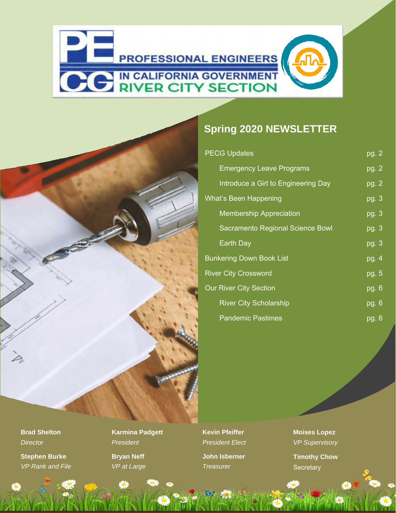

#### **Spring 2020 NEWSLETTER**

| <b>PECG Updates</b>                 | pg. 2                       |
|-------------------------------------|-----------------------------|
| <b>Emergency Leave Programs</b>     | pg. 2                       |
| Introduce a Girl to Engineering Day | pg. 2                       |
| <b>What's Been Happening</b>        | pg. 3                       |
| <b>Membership Appreciation</b>      | $\overline{\mathsf{pg.3}}$  |
| Sacramento Regional Science Bowl    | pg.3                        |
| Earth Day                           | $\overline{\mathsf{pg. 3}}$ |
| <b>Bunkering Down Book List</b>     | pg. 4                       |
| <b>River City Crossword</b>         | pg.5                        |
| <b>Our River City Section</b>       | pg. 6                       |
| <b>River City Scholarship</b>       | pg.6                        |
| <b>Pandemic Pastimes</b>            | <u>pg</u> . 6               |

**Brad Shelton** *Director*

**Stephen Burke** *VP Rank and File*  **Karmina Padgett** *President* **Bryan Neff** *VP at Large*

**Kevin Pfeiffer** *President Elect* **John Isberner**

*Treasurer*

**Moises Lopez** *VP Supervisory*

**Timothy Chow Secretary**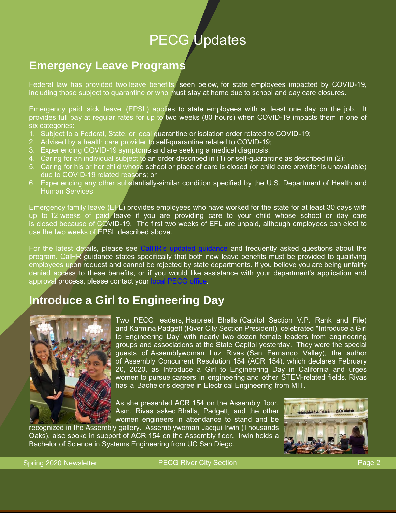# PECG Updates

### **Emergency Leave Programs**

Federal law has provided two leave benefits, seen below, for state employees impacted by COVID-19, including those subject to quarantine or who must stay at home due to school and day care closures.

Emergency paid sick leave (EPSL) applies to state employees with at least one day on the job. It provides full pay at regular rates for up to two weeks (80 hours) when COVID-19 impacts them in one of six categories:

- 1. Subject to a Federal, State, or local quarantine or isolation order related to COVID-19;
- 2. Advised by a health care provider to self-quarantine related to COVID-19;
- 3. Experiencing COVID-19 symptoms and are seeking a medical diagnosis;
- 4. Caring for an individual subject to an order described in (1) or self-quarantine as described in (2);
- 5. Caring for his or her child whose school or place of care is closed (or child care provider is unavailable) due to COVID-19 related reasons; or
- 6. Experiencing any other substantially-similar condition specified by the U.S. Department of Health and Human Services

Emergency family leave (EFL) provides employees who have worked for the state for at least 30 days with up to 12 weeks of paid leave if you are providing care to your child whose school or day care is closed because of COVID-19. The first two weeks of EFL are unpaid, although employees can elect to use the two weeks of EPSL described above.

For the latest details, please see CalHR's updated quidance and frequently asked questions about the program. CalHR guidance states specifically that both new leave benefits must be provided to qualifying employees upon request and cannot be rejected by state departments. If you believe you are being unfairly denied access to these benefits, or if you would like assistance with your department's application and approval process, please contact your lo

### **Introduce a Girl to Engineering Day**



Two PECG leaders, Harpreet Bhalla (Capitol Section V.P. Rank and File) and Karmina Padgett (River City Section President), celebrated "Introduce a Girl to Engineering Day" with nearly two dozen female leaders from engineering groups and associations at the State Capitol yesterday. They were the special guests of Assemblywoman Luz Rivas (San Fernando Valley), the author of Assembly Concurrent Resolution 154 (ACR 154), which declares February 20, 2020, as Introduce a Girl to Engineering Day in California and urges women to pursue careers in engineering and other STEM-related fields. Rivas has a Bachelor's degree in Electrical Engineering from MIT.

As she presented ACR 154 on the Assembly floor, Asm. Rivas asked Bhalla, Padgett, and the other women engineers in attendance to stand and be

recognized in the Assembly gallery. Assemblywoman Jacqui Irwin (Thousands Oaks), also spoke in support of ACR 154 on the Assembly floor. Irwin holds a Bachelor of Science in Systems Engineering from UC San Diego.

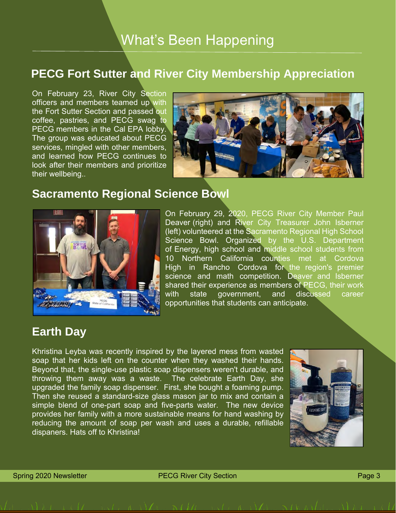## What's Been Happening

#### **PECG Fort Sutter and River City Membership Appreciation**

On February 23, River City Section officers and members teamed up with the Fort Sutter Section and passed out coffee, pastries, and PECG swag to PECG members in the Cal EPA lobby. The group was educated about PECG services, mingled with other members, and learned how PECG continues to look after their members and prioritize their wellbeing..



#### **Sacramento Regional Science Bowl**



On February 29, 2020, PECG River City Member Paul Deaver (right) and River City Treasurer John Isberner (left) volunteered at the Sacramento Regional High School Science Bowl. Organized by the U.S. Department of Energy, high school and middle school students from 10 Northern California counties met at Cordova High in Rancho Cordova for the region's premier science and math competition. Deaver and Isberner shared their experience as members of PECG, their work with state government, and discussed career opportunities that students can anticipate.

#### **Earth Day**

Khristina Leyba was recently inspired by the layered mess from wasted soap that her kids left on the counter when they washed their hands. Beyond that, the single-use plastic soap dispensers weren't durable, and throwing them away was a waste. The celebrate Earth Day, she upgraded the family soap dispenser. First, she bought a foaming pump. Then she reused a standard-size glass mason jar to mix and contain a simple blend of one-part soap and five-parts water. The new device provides her family with a more sustainable means for hand washing by reducing the amount of soap per wash and uses a durable, refillable dispaners. Hats off to Khristina!

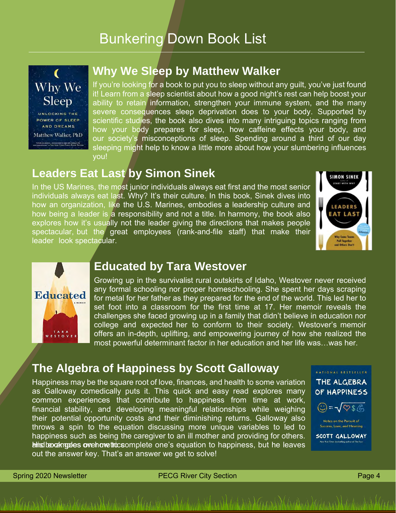## Bunkering Down Book List



#### **Why We Sleep by Matthew Walker**

If you're looking for a book to put you to sleep without any guilt, you've just found it! Learn from a sleep scientist about how a good night's rest can help boost your ability to retain information, strengthen your immune system, and the many severe consequences sleep deprivation does to your body. Supported by scientific studies, the book also dives into many intriguing topics ranging from how your body prepares for sleep, how caffeine effects your body, and our society's misconceptions of sleep. Spending around a third of our day sleeping might help to know a little more about how your slumbering influences you!

#### **Leaders Eat Last by Simon Sinek**

In the US Marines, the most junior individuals always eat first and the most senior individuals always eat last. Why? It's their culture. In this book, Sinek dives into how an organization, like the U.S. Marines, embodies a leadership culture and how being a leader is a responsibility and not a title. In harmony, the book also explores how it's usually not the leader giving the directions that makes people spectacular, but the great employees (rank-and-file staff) that make their leader look spectacular.





#### **Educated by Tara Westover**

Growing up in the survivalist rural outskirts of Idaho, Westover never received any formal schooling nor proper homeschooling. She spent her days scraping for metal for her father as they prepared for the end of the world. This led her to set foot into a classroom for the first time at 17. Her memoir reveals the challenges she faced growing up in a family that didn't believe in education nor college and expected her to conform to their society. Westover's memoir offers an in-depth, uplifting, and empowering journey of how she realized the most powerful determinant factor in her education and her life was…was her.

#### **The Algebra of Happiness by Scott Galloway**

Happiness may be the square root of love, finances, and health to some variation as Galloway comedically puts it. This quick and easy read explores many common experiences that contribute to happiness from time at work, financial stability, and developing meaningful relationships while weighing their potential opportunity costs and their diminishing returns. Galloway also throws a spin to the equation discussing more unique variables to led to happiness such as being the caregiver to an ill mother and providing for others. and his beodytom book over the complete one's equation to happiness, but he leaves out the answer key. That's an answer we get to solve!



Spring 2020 Newsletter **PECG River City Section** Page 4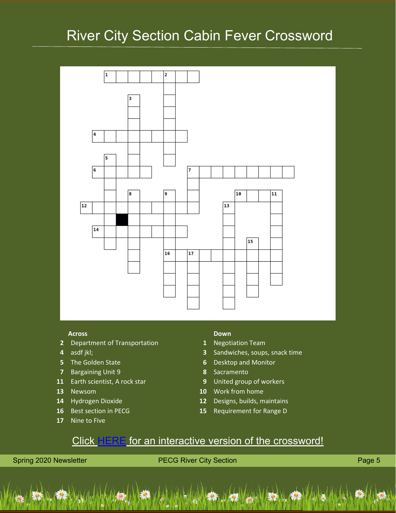## River City Section Cabin Fever Crossword



- Department of Transportation **1** Negotiation Team
- 
- 
- Bargaining Unit 9 **8** Sacramento
- Earth scientist, A rock star **9** United group of workers
- 
- 
- 
- Nine to Five

#### **Across Down**

- 
- asdf jkl; **3** Sandwiches, soups, snack time
- The Golden State **6** Desktop and Monitor
	-
	-
- Newsom **10** Work from home
- Hydrogen Dioxide **12** Designs, builds, maintains
- Best section in PECG **15** Requirement for Range D

#### Click [HERE](https://crosswordlabs.com/view/2020-04-16-595) for an interactive version of the crossword!

Spring 2020 Newsletter **PECG River City Section** Page 5